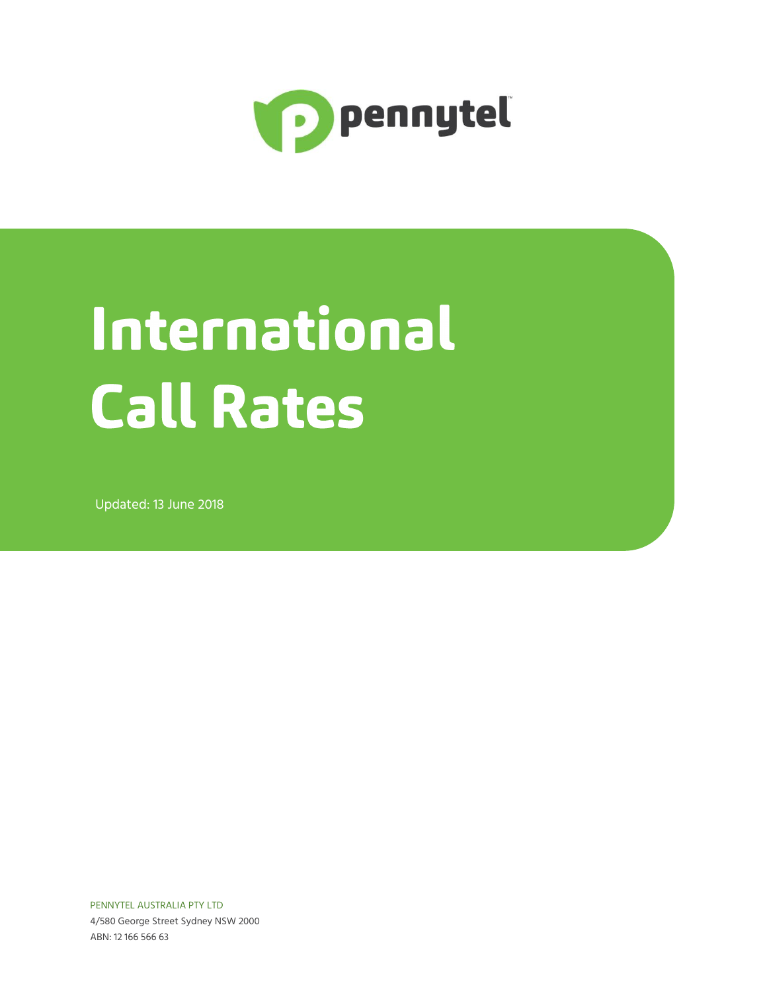

## International **Call Rates**

Updated: 13 June 2018

PENNYTEL AUSTRALIA PTY LTD 4/580 George Street Sydney NSW 2000 ABN: 12 166 566 63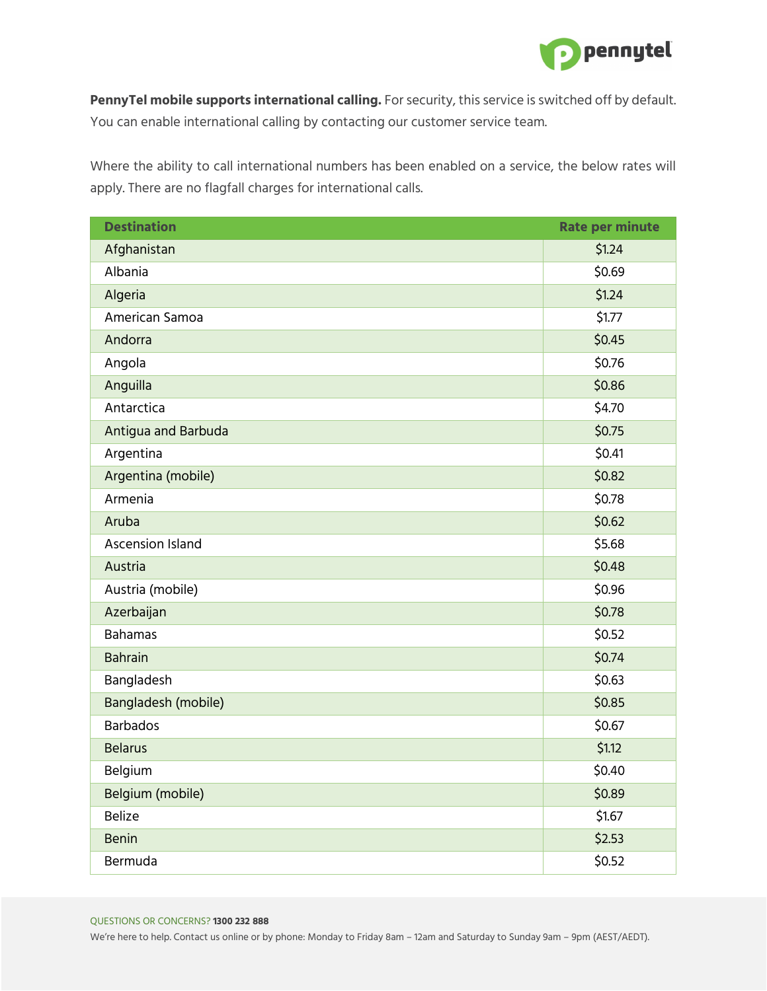

**PennyTel mobile supports international calling.** For security, this service is switched off by default. You can enable international calling by contacting our customer service team.

Where the ability to call international numbers has been enabled on a service, the below rates will apply. There are no flagfall charges for international calls.

| <b>Destination</b>      | <b>Rate per minute</b> |
|-------------------------|------------------------|
| Afghanistan             | \$1.24                 |
| Albania                 | \$0.69                 |
| Algeria                 | \$1.24                 |
| American Samoa          | \$1.77                 |
| Andorra                 | \$0.45                 |
| Angola                  | \$0.76                 |
| Anguilla                | \$0.86                 |
| Antarctica              | \$4.70                 |
| Antigua and Barbuda     | \$0.75                 |
| Argentina               | \$0.41                 |
| Argentina (mobile)      | \$0.82                 |
| Armenia                 | \$0.78                 |
| Aruba                   | \$0.62                 |
| <b>Ascension Island</b> | \$5.68                 |
| Austria                 | \$0.48                 |
| Austria (mobile)        | \$0.96                 |
| Azerbaijan              | \$0.78                 |
| <b>Bahamas</b>          | \$0.52                 |
| <b>Bahrain</b>          | \$0.74                 |
| Bangladesh              | \$0.63                 |
| Bangladesh (mobile)     | \$0.85                 |
| <b>Barbados</b>         | \$0.67                 |
| <b>Belarus</b>          | \$1.12                 |
| Belgium                 | \$0.40                 |
| Belgium (mobile)        | \$0.89                 |
| <b>Belize</b>           | \$1.67                 |
| <b>Benin</b>            | \$2.53                 |
| Bermuda                 | \$0.52                 |

## QUESTIONS OR CONCERNS? **1300 232 888**

We're here to help. Contact us online or by phone: Monday to Friday 8am – 12am and Saturday to Sunday 9am – 9pm (AEST/AEDT).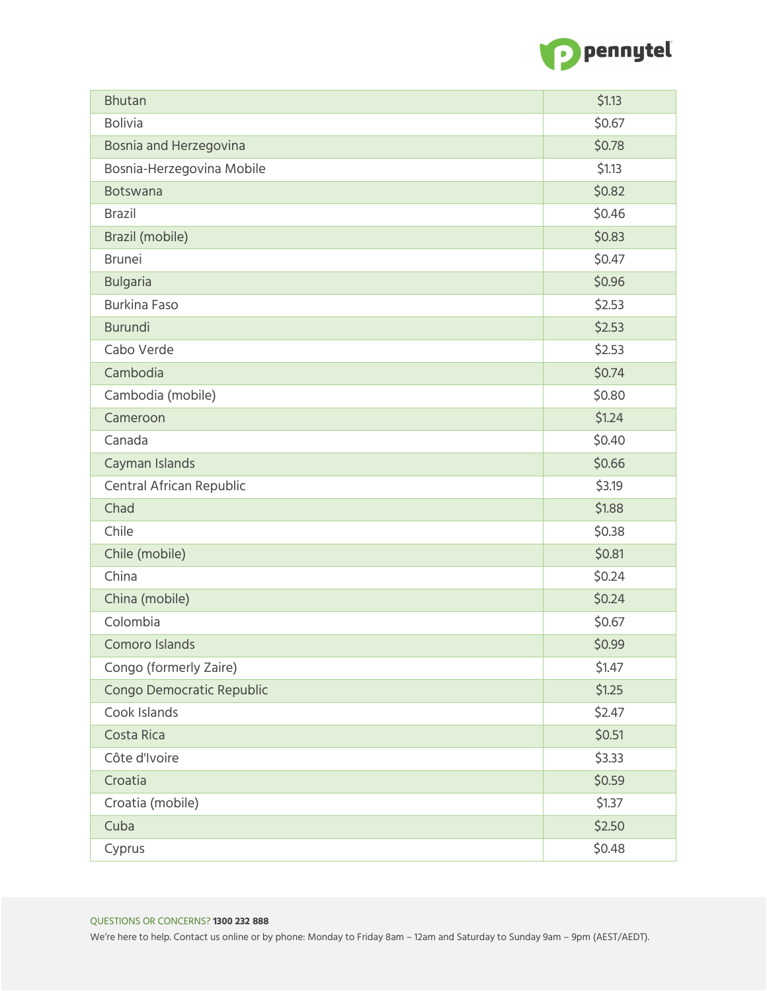

| <b>Bhutan</b>             | \$1.13 |
|---------------------------|--------|
| <b>Bolivia</b>            | \$0.67 |
| Bosnia and Herzegovina    | \$0.78 |
| Bosnia-Herzegovina Mobile | \$1.13 |
| <b>Botswana</b>           | \$0.82 |
| <b>Brazil</b>             | \$0.46 |
| Brazil (mobile)           | \$0.83 |
| <b>Brunei</b>             | \$0.47 |
| <b>Bulgaria</b>           | \$0.96 |
| <b>Burkina Faso</b>       | \$2.53 |
| <b>Burundi</b>            | \$2.53 |
| Cabo Verde                | \$2.53 |
| Cambodia                  | \$0.74 |
| Cambodia (mobile)         | \$0.80 |
| Cameroon                  | \$1.24 |
| Canada                    | \$0.40 |
| Cayman Islands            | \$0.66 |
| Central African Republic  | \$3.19 |
| Chad                      | \$1.88 |
| Chile                     | \$0.38 |
| Chile (mobile)            | \$0.81 |
| China                     | \$0.24 |
| China (mobile)            | \$0.24 |
| Colombia                  | \$0.67 |
| Comoro Islands            | \$0.99 |
| Congo (formerly Zaire)    | \$1.47 |
| Congo Democratic Republic | \$1.25 |
| Cook Islands              | \$2.47 |
| Costa Rica                | \$0.51 |
| Côte d'Ivoire             | \$3.33 |
| Croatia                   | \$0.59 |
| Croatia (mobile)          | \$1.37 |
| Cuba                      | \$2.50 |
| Cyprus                    | \$0.48 |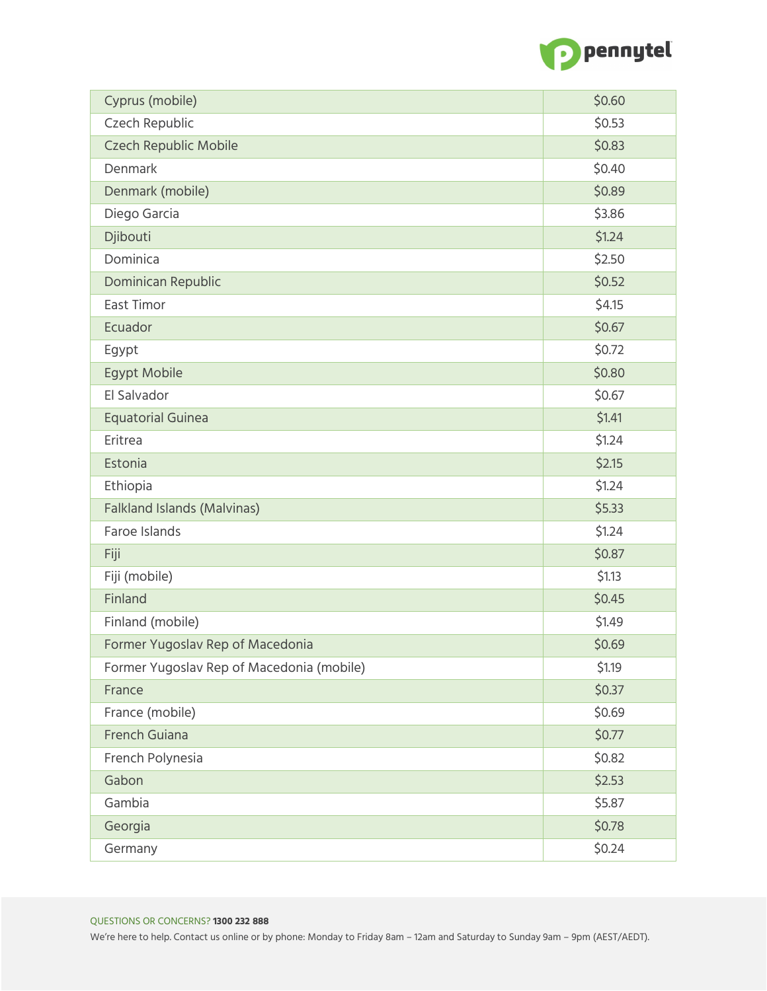

| Cyprus (mobile)                           | \$0.60 |
|-------------------------------------------|--------|
| Czech Republic                            | \$0.53 |
| Czech Republic Mobile                     | \$0.83 |
| Denmark                                   | \$0.40 |
| Denmark (mobile)                          | \$0.89 |
| Diego Garcia                              | \$3.86 |
| Djibouti                                  | \$1.24 |
| Dominica                                  | \$2.50 |
| Dominican Republic                        | \$0.52 |
| East Timor                                | \$4.15 |
| Ecuador                                   | \$0.67 |
| Egypt                                     | \$0.72 |
| <b>Egypt Mobile</b>                       | \$0.80 |
| El Salvador                               | \$0.67 |
| <b>Equatorial Guinea</b>                  | \$1.41 |
| Eritrea                                   | \$1.24 |
| Estonia                                   | \$2.15 |
| Ethiopia                                  | \$1.24 |
| <b>Falkland Islands (Malvinas)</b>        | \$5.33 |
| Faroe Islands                             | \$1.24 |
| Fiji                                      | \$0.87 |
| Fiji (mobile)                             | \$1.13 |
| Finland                                   | \$0.45 |
| Finland (mobile)                          | \$1.49 |
| Former Yugoslav Rep of Macedonia          | \$0.69 |
| Former Yugoslav Rep of Macedonia (mobile) | \$1.19 |
| France                                    | \$0.37 |
| France (mobile)                           | \$0.69 |
| French Guiana                             | \$0.77 |
| French Polynesia                          | \$0.82 |
| Gabon                                     | \$2.53 |
| Gambia                                    | \$5.87 |
| Georgia                                   | \$0.78 |
| Germany                                   | \$0.24 |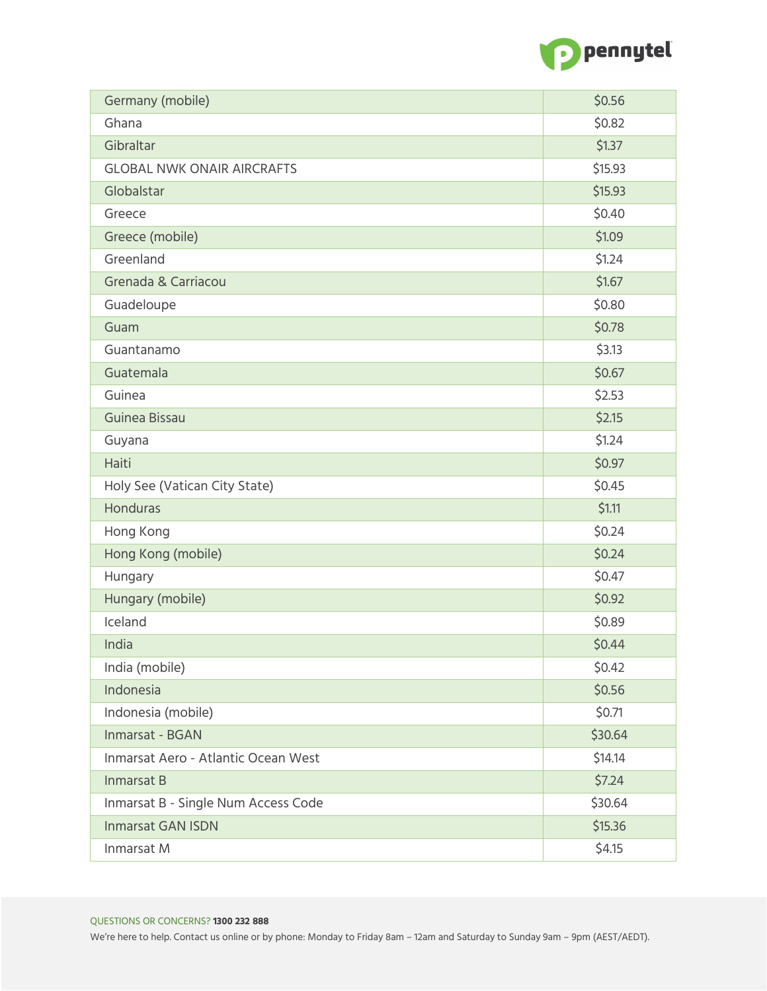

| Germany (mobile)                    | \$0.56  |
|-------------------------------------|---------|
| Ghana                               | \$0.82  |
| Gibraltar                           | \$1.37  |
| <b>GLOBAL NWK ONAIR AIRCRAFTS</b>   | \$15.93 |
| Globalstar                          | \$15.93 |
| Greece                              | \$0.40  |
| Greece (mobile)                     | \$1.09  |
| Greenland                           | \$1.24  |
| Grenada & Carriacou                 | \$1.67  |
| Guadeloupe                          | \$0.80  |
| Guam                                | \$0.78  |
| Guantanamo                          | \$3.13  |
| Guatemala                           | \$0.67  |
| Guinea                              | \$2.53  |
| Guinea Bissau                       | \$2.15  |
| Guyana                              | \$1.24  |
| Haiti                               | \$0.97  |
| Holy See (Vatican City State)       | \$0.45  |
| <b>Honduras</b>                     | \$1.11  |
| Hong Kong                           | \$0.24  |
| Hong Kong (mobile)                  | \$0.24  |
| Hungary                             | \$0.47  |
| Hungary (mobile)                    | \$0.92  |
| Iceland                             | \$0.89  |
| India                               | \$0.44  |
| India (mobile)                      | \$0.42  |
| Indonesia                           | \$0.56  |
| Indonesia (mobile)                  | \$0.71  |
| Inmarsat - BGAN                     | \$30.64 |
| Inmarsat Aero - Atlantic Ocean West | \$14.14 |
| Inmarsat B                          | \$7.24  |
| Inmarsat B - Single Num Access Code | \$30.64 |
| <b>Inmarsat GAN ISDN</b>            | \$15.36 |
| Inmarsat M                          | \$4.15  |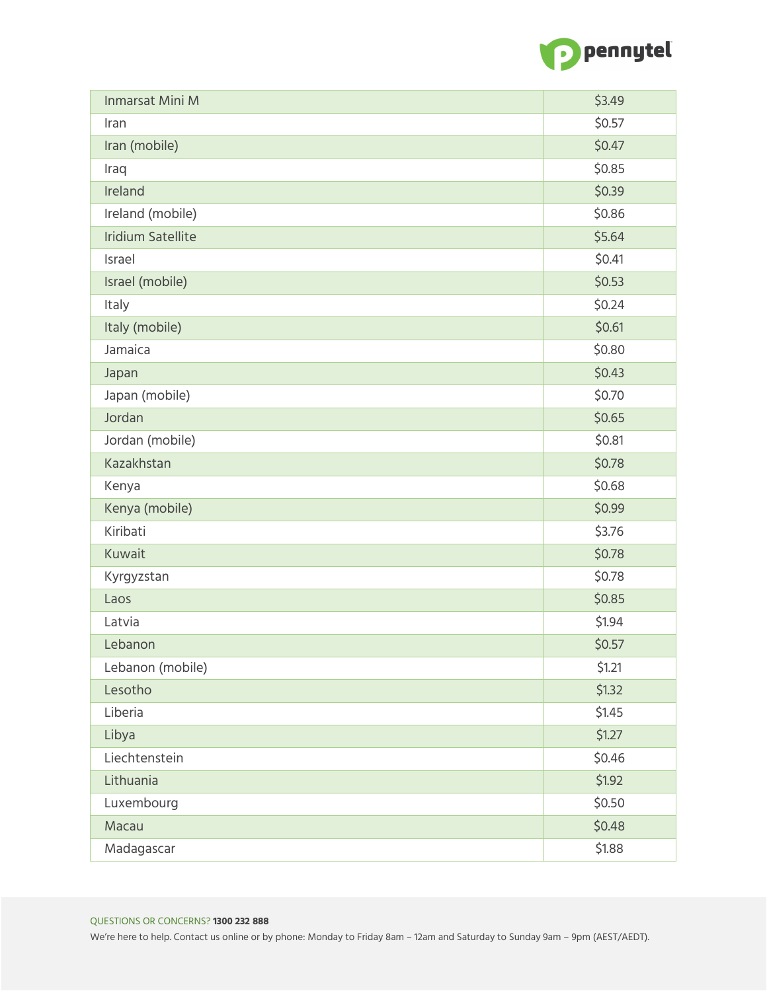

| Inmarsat Mini M          | \$3.49 |
|--------------------------|--------|
| Iran                     | \$0.57 |
| Iran (mobile)            | \$0.47 |
| Iraq                     | \$0.85 |
| Ireland                  | \$0.39 |
| Ireland (mobile)         | \$0.86 |
| <b>Iridium Satellite</b> | \$5.64 |
| Israel                   | \$0.41 |
| Israel (mobile)          | \$0.53 |
| Italy                    | \$0.24 |
| Italy (mobile)           | \$0.61 |
| Jamaica                  | \$0.80 |
| Japan                    | \$0.43 |
| Japan (mobile)           | \$0.70 |
| Jordan                   | \$0.65 |
| Jordan (mobile)          | \$0.81 |
| Kazakhstan               | \$0.78 |
| Kenya                    | \$0.68 |
| Kenya (mobile)           | \$0.99 |
| Kiribati                 | \$3.76 |
| Kuwait                   | \$0.78 |
| Kyrgyzstan               | \$0.78 |
| Laos                     | \$0.85 |
| Latvia                   | \$1.94 |
| Lebanon                  | \$0.57 |
| Lebanon (mobile)         | \$1.21 |
| Lesotho                  | \$1.32 |
| Liberia                  | \$1.45 |
| Libya                    | \$1.27 |
| Liechtenstein            | \$0.46 |
| Lithuania                | \$1.92 |
| Luxembourg               | \$0.50 |
| Macau                    | \$0.48 |
| Madagascar               | \$1.88 |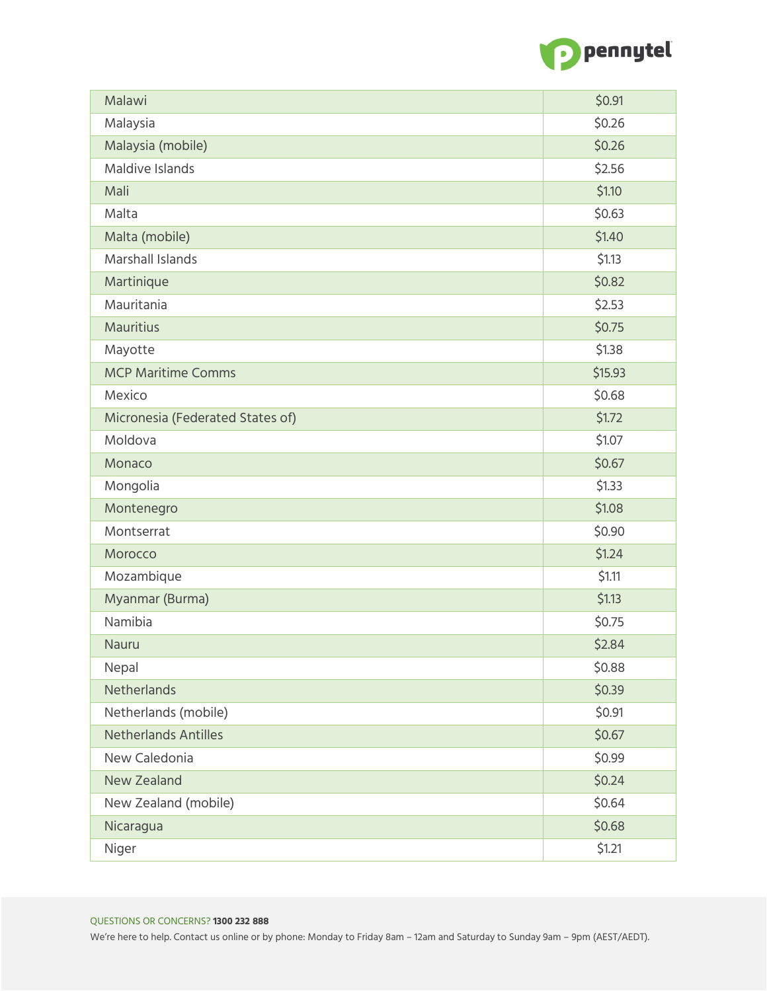

| Malawi                           | \$0.91  |
|----------------------------------|---------|
| Malaysia                         | \$0.26  |
| Malaysia (mobile)                | \$0.26  |
| Maldive Islands                  | \$2.56  |
| Mali                             | \$1.10  |
| Malta                            | \$0.63  |
| Malta (mobile)                   | \$1.40  |
| <b>Marshall Islands</b>          | \$1.13  |
| Martinique                       | \$0.82  |
| Mauritania                       | \$2.53  |
| <b>Mauritius</b>                 | \$0.75  |
| Mayotte                          | \$1.38  |
| <b>MCP Maritime Comms</b>        | \$15.93 |
| Mexico                           | \$0.68  |
| Micronesia (Federated States of) | \$1.72  |
| Moldova                          | \$1.07  |
| Monaco                           | \$0.67  |
| Mongolia                         | \$1.33  |
| Montenegro                       | \$1.08  |
| Montserrat                       | \$0.90  |
| Morocco                          | \$1.24  |
| Mozambique                       | \$1.11  |
| Myanmar (Burma)                  | \$1.13  |
| Namibia                          | \$0.75  |
| Nauru                            | \$2.84  |
| Nepal                            | \$0.88  |
| <b>Netherlands</b>               | \$0.39  |
| Netherlands (mobile)             | \$0.91  |
| <b>Netherlands Antilles</b>      | \$0.67  |
| New Caledonia                    | \$0.99  |
| <b>New Zealand</b>               | \$0.24  |
| New Zealand (mobile)             | \$0.64  |
| Nicaragua                        | \$0.68  |
| Niger                            | \$1.21  |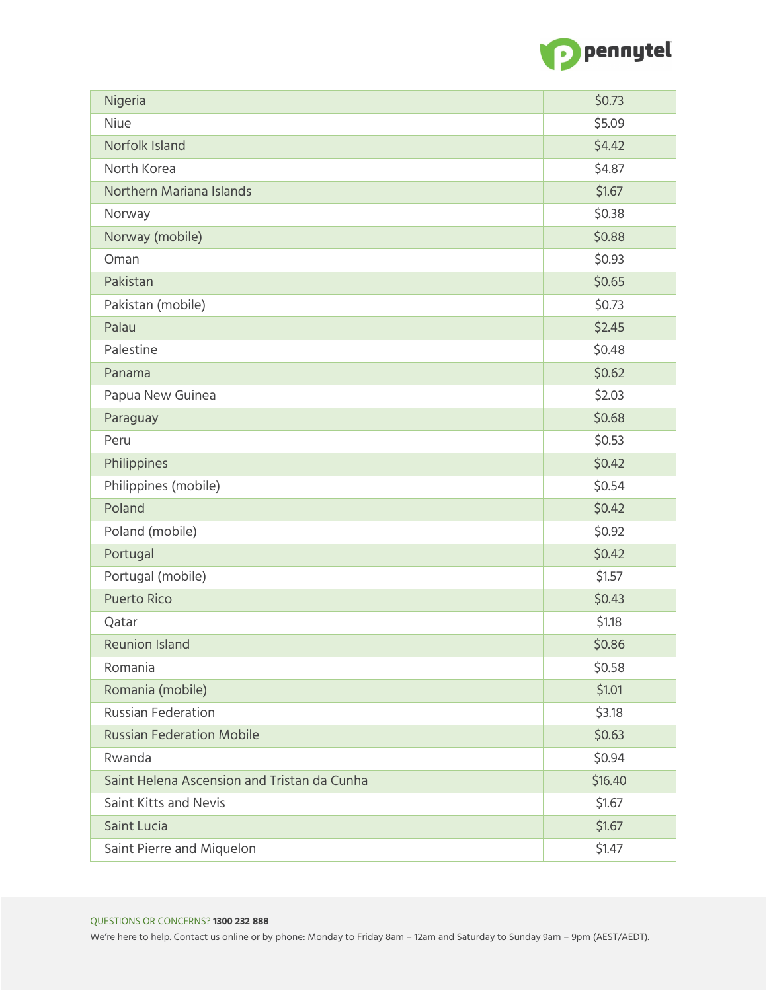

| Nigeria                                     | \$0.73  |
|---------------------------------------------|---------|
| Niue                                        | \$5.09  |
| Norfolk Island                              | \$4.42  |
| North Korea                                 | \$4.87  |
| Northern Mariana Islands                    | \$1.67  |
| Norway                                      | \$0.38  |
| Norway (mobile)                             | \$0.88  |
| Oman                                        | \$0.93  |
| Pakistan                                    | \$0.65  |
| Pakistan (mobile)                           | \$0.73  |
| Palau                                       | \$2.45  |
| Palestine                                   | \$0.48  |
| Panama                                      | \$0.62  |
| Papua New Guinea                            | \$2.03  |
| Paraguay                                    | \$0.68  |
| Peru                                        | \$0.53  |
| Philippines                                 | \$0.42  |
| Philippines (mobile)                        | \$0.54  |
| Poland                                      | \$0.42  |
| Poland (mobile)                             | \$0.92  |
| Portugal                                    | \$0.42  |
| Portugal (mobile)                           | \$1.57  |
| <b>Puerto Rico</b>                          | \$0.43  |
| Qatar                                       | \$1.18  |
| <b>Reunion Island</b>                       | \$0.86  |
| Romania                                     | \$0.58  |
| Romania (mobile)                            | \$1.01  |
| <b>Russian Federation</b>                   | \$3.18  |
| <b>Russian Federation Mobile</b>            | \$0.63  |
| Rwanda                                      | \$0.94  |
| Saint Helena Ascension and Tristan da Cunha | \$16.40 |
| Saint Kitts and Nevis                       | \$1.67  |
| Saint Lucia                                 | \$1.67  |
| Saint Pierre and Miquelon                   | \$1.47  |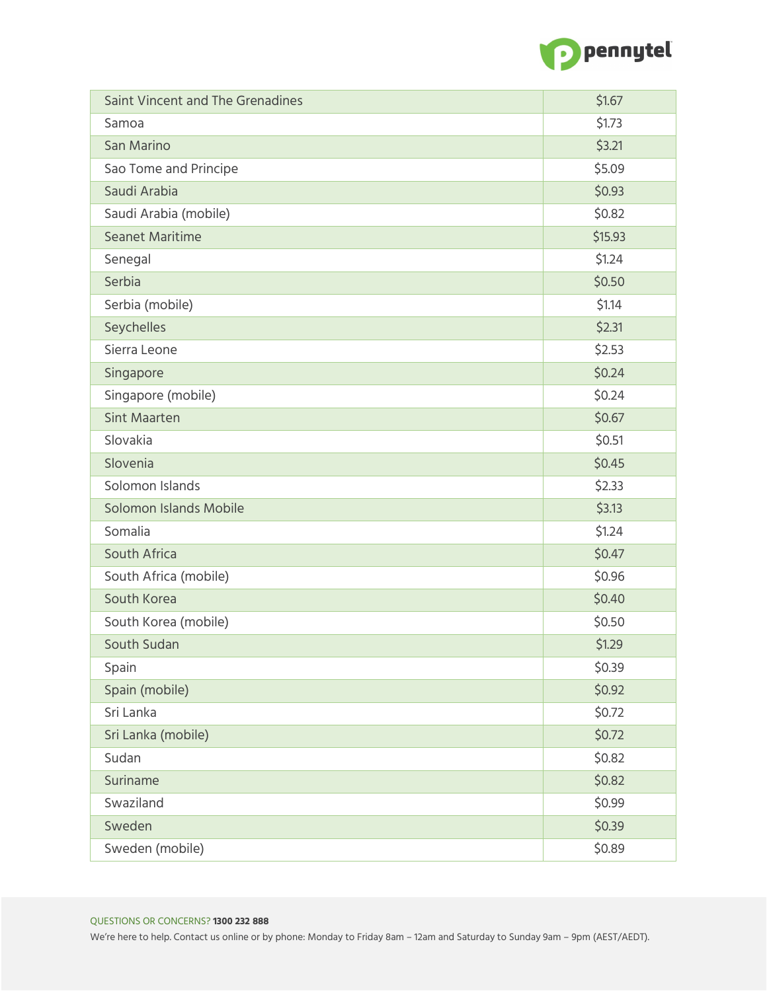

| Saint Vincent and The Grenadines | \$1.67  |
|----------------------------------|---------|
| Samoa                            | \$1.73  |
| San Marino                       | \$3.21  |
| Sao Tome and Principe            | \$5.09  |
| Saudi Arabia                     | \$0.93  |
| Saudi Arabia (mobile)            | \$0.82  |
| <b>Seanet Maritime</b>           | \$15.93 |
| Senegal                          | \$1.24  |
| Serbia                           | \$0.50  |
| Serbia (mobile)                  | \$1.14  |
| Seychelles                       | \$2.31  |
| Sierra Leone                     | \$2.53  |
| Singapore                        | \$0.24  |
| Singapore (mobile)               | \$0.24  |
| <b>Sint Maarten</b>              | \$0.67  |
| Slovakia                         | \$0.51  |
| Slovenia                         | \$0.45  |
| Solomon Islands                  | \$2.33  |
| Solomon Islands Mobile           | \$3.13  |
| Somalia                          | \$1.24  |
| South Africa                     | \$0.47  |
| South Africa (mobile)            | \$0.96  |
| South Korea                      | \$0.40  |
| South Korea (mobile)             | \$0.50  |
| South Sudan                      | \$1.29  |
| Spain                            | \$0.39  |
| Spain (mobile)                   | \$0.92  |
| Sri Lanka                        | \$0.72  |
| Sri Lanka (mobile)               | \$0.72  |
| Sudan                            | \$0.82  |
| Suriname                         | \$0.82  |
| Swaziland                        | \$0.99  |
| Sweden                           | \$0.39  |
| Sweden (mobile)                  | \$0.89  |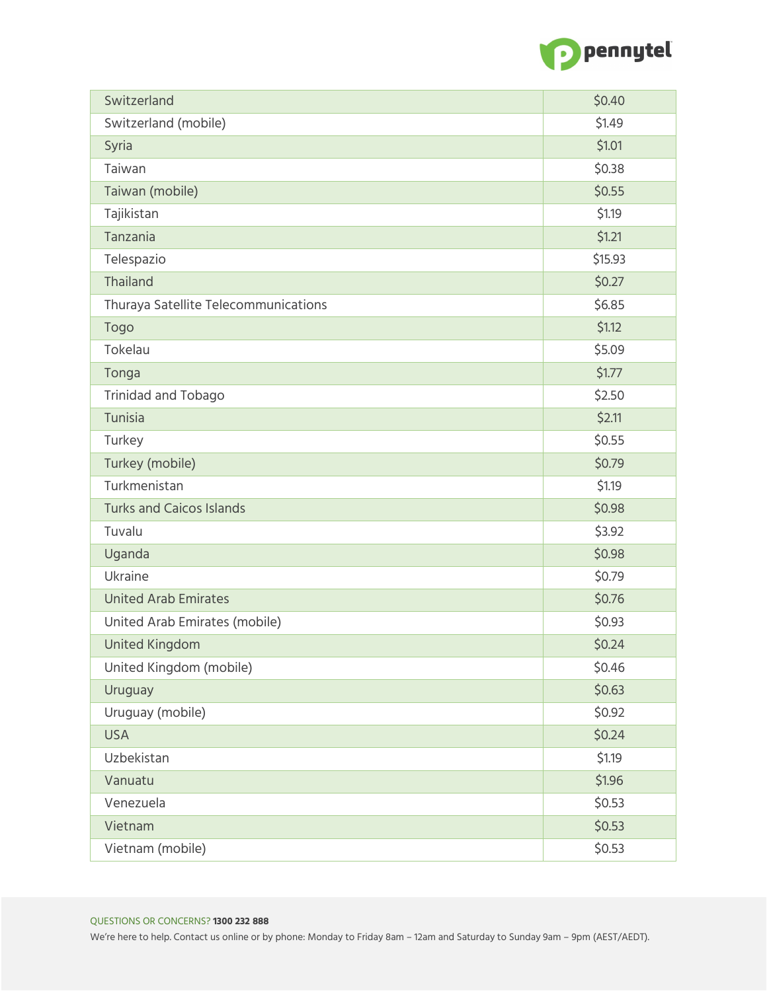

| Switzerland                          | \$0.40  |
|--------------------------------------|---------|
| Switzerland (mobile)                 | \$1.49  |
| Syria                                | \$1.01  |
| Taiwan                               | \$0.38  |
| Taiwan (mobile)                      | \$0.55  |
| Tajikistan                           | \$1.19  |
| Tanzania                             | \$1.21  |
| Telespazio                           | \$15.93 |
| Thailand                             | \$0.27  |
| Thuraya Satellite Telecommunications | \$6.85  |
| Togo                                 | \$1.12  |
| Tokelau                              | \$5.09  |
| Tonga                                | \$1.77  |
| <b>Trinidad and Tobago</b>           | \$2.50  |
| Tunisia                              | \$2.11  |
| Turkey                               | \$0.55  |
| Turkey (mobile)                      | \$0.79  |
| Turkmenistan                         | \$1.19  |
| <b>Turks and Caicos Islands</b>      | \$0.98  |
| Tuvalu                               | \$3.92  |
| Uganda                               | \$0.98  |
| Ukraine                              | \$0.79  |
| <b>United Arab Emirates</b>          | \$0.76  |
| United Arab Emirates (mobile)        | \$0.93  |
| <b>United Kingdom</b>                | \$0.24  |
| United Kingdom (mobile)              | \$0.46  |
| Uruguay                              | \$0.63  |
| Uruguay (mobile)                     | \$0.92  |
| <b>USA</b>                           | \$0.24  |
| Uzbekistan                           | \$1.19  |
| Vanuatu                              | \$1.96  |
| Venezuela                            | \$0.53  |
| Vietnam                              | \$0.53  |
| Vietnam (mobile)                     | \$0.53  |